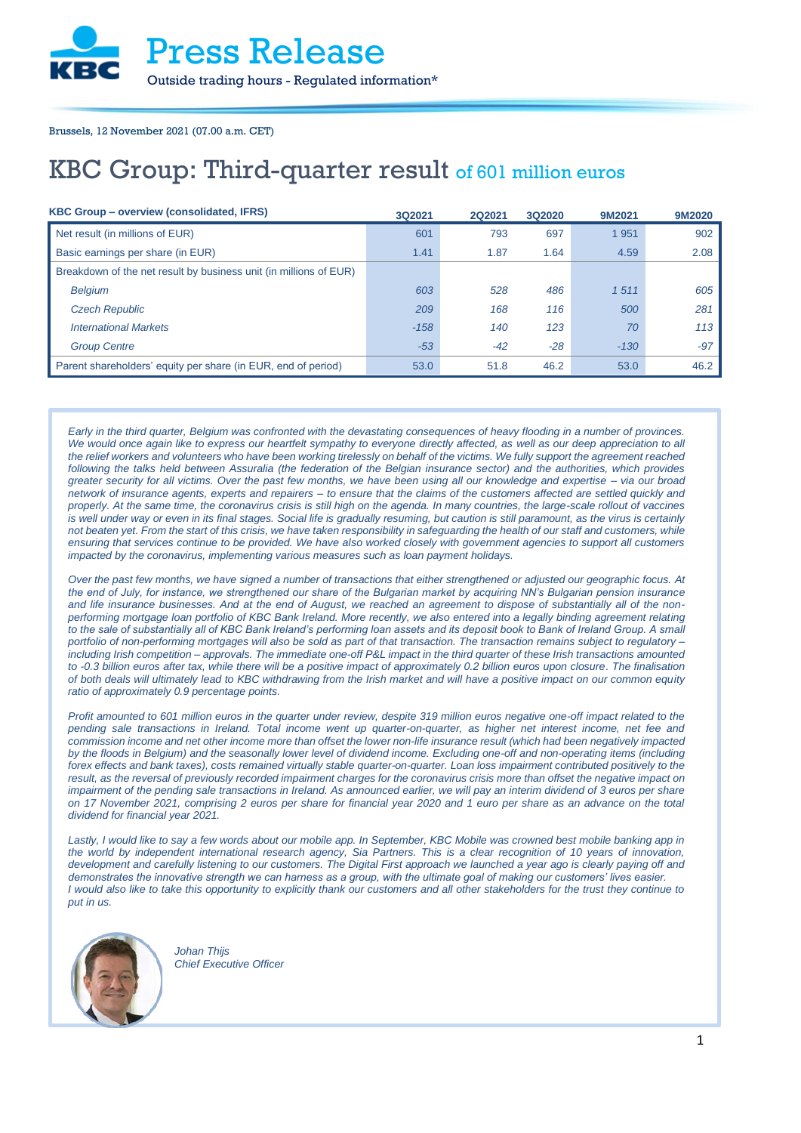Brussels, 12 November 2021 (07.00 a.m. CET)

## KBC Group: Third-quarter result of 601 million euros

| KBC Group - overview (consolidated, IFRS)                         | <b>3Q2021</b> | 2Q2021 | 3Q2020 | 9M2021  | 9M2020 |
|-------------------------------------------------------------------|---------------|--------|--------|---------|--------|
| Net result (in millions of EUR)                                   | 601           | 793    | 697    | 1 9 5 1 | 902    |
| Basic earnings per share (in EUR)                                 | 1.41          | 1.87   | 1.64   | 4.59    | 2.08   |
| Breakdown of the net result by business unit (in millions of EUR) |               |        |        |         |        |
| <b>Belgium</b>                                                    | 603           | 528    | 486    | 1511    | 605    |
| <b>Czech Republic</b>                                             | 209           | 168    | 116    | 500     | 281    |
| <b>International Markets</b>                                      | $-158$        | 140    | 123    | 70      | 113    |
| <b>Group Centre</b>                                               | $-53$         | $-42$  | $-28$  | $-130$  | $-97$  |
| Parent shareholders' equity per share (in EUR, end of period)     | 53.0          | 51.8   | 46.2   | 53.0    | 46.2   |

*Early in the third quarter, Belgium was confronted with the devastating consequences of heavy flooding in a number of provinces. We would once again like to express our heartfelt sympathy to everyone directly affected, as well as our deep appreciation to all the relief workers and volunteers who have been working tirelessly on behalf of the victims. We fully support the agreement reached following the talks held between Assuralia (the federation of the Belgian insurance sector) and the authorities, which provides greater security for all victims. Over the past few months, we have been using all our knowledge and expertise – via our broad network of insurance agents, experts and repairers – to ensure that the claims of the customers affected are settled quickly and properly. At the same time, the coronavirus crisis is still high on the agenda. In many countries, the large-scale rollout of vaccines is well under way or even in its final stages. Social life is gradually resuming, but caution is still paramount, as the virus is certainly not beaten yet. From the start of this crisis, we have taken responsibility in safeguarding the health of our staff and customers, while ensuring that services continue to be provided. We have also worked closely with government agencies to support all customers impacted by the coronavirus, implementing various measures such as loan payment holidays.* 

*Over the past few months, we have signed a number of transactions that either strengthened or adjusted our geographic focus. At the end of July, for instance, we strengthened our share of the Bulgarian market by acquiring NN's Bulgarian pension insurance and life insurance businesses. And at the end of August, we reached an agreement to dispose of substantially all of the nonperforming mortgage loan portfolio of KBC Bank Ireland. More recently, we also entered into a legally binding agreement relating* to the sale of substantially all of KBC Bank Ireland's performing loan assets and its deposit book to Bank of Ireland Group. A small *portfolio of non-performing mortgages will also be sold as part of that transaction. The transaction remains subject to regulatory – including Irish competition – approvals. The immediate one-off P&L impact in the third quarter of these Irish transactions amounted to -0.3 billion euros after tax, while there will be a positive impact of approximately 0.2 billion euros upon closure. The finalisation of both deals will ultimately lead to KBC withdrawing from the Irish market and will have a positive impact on our common equity ratio of approximately 0.9 percentage points.*

*Profit amounted to 601 million euros in the quarter under review, despite 319 million euros negative one-off impact related to the pending sale transactions in Ireland. Total income went up quarter-on-quarter, as higher net interest income, net fee and commission income and net other income more than offset the lower non-life insurance result (which had been negatively impacted by the floods in Belgium) and the seasonally lower level of dividend income. Excluding one-off and non-operating items (including forex effects and bank taxes), costs remained virtually stable quarter-on-quarter. Loan loss impairment contributed positively to the result, as the reversal of previously recorded impairment charges for the coronavirus crisis more than offset the negative impact on impairment of the pending sale transactions in Ireland. As announced earlier, we will pay an interim dividend of 3 euros per share on 17 November 2021, comprising 2 euros per share for financial year 2020 and 1 euro per share as an advance on the total dividend for financial year 2021.* 

Lastly, I would like to say a few words about our mobile app. In September, KBC Mobile was crowned best mobile banking app in *the world by independent international research agency, Sia Partners. This is a clear recognition of 10 years of innovation, development and carefully listening to our customers. The Digital First approach we launched a year ago is clearly paying off and demonstrates the innovative strength we can harness as a group, with the ultimate goal of making our customers' lives easier. I would also like to take this opportunity to explicitly thank our customers and all other stakeholders for the trust they continue to put in us.*



*Johan Thijs Chief Executive Officer*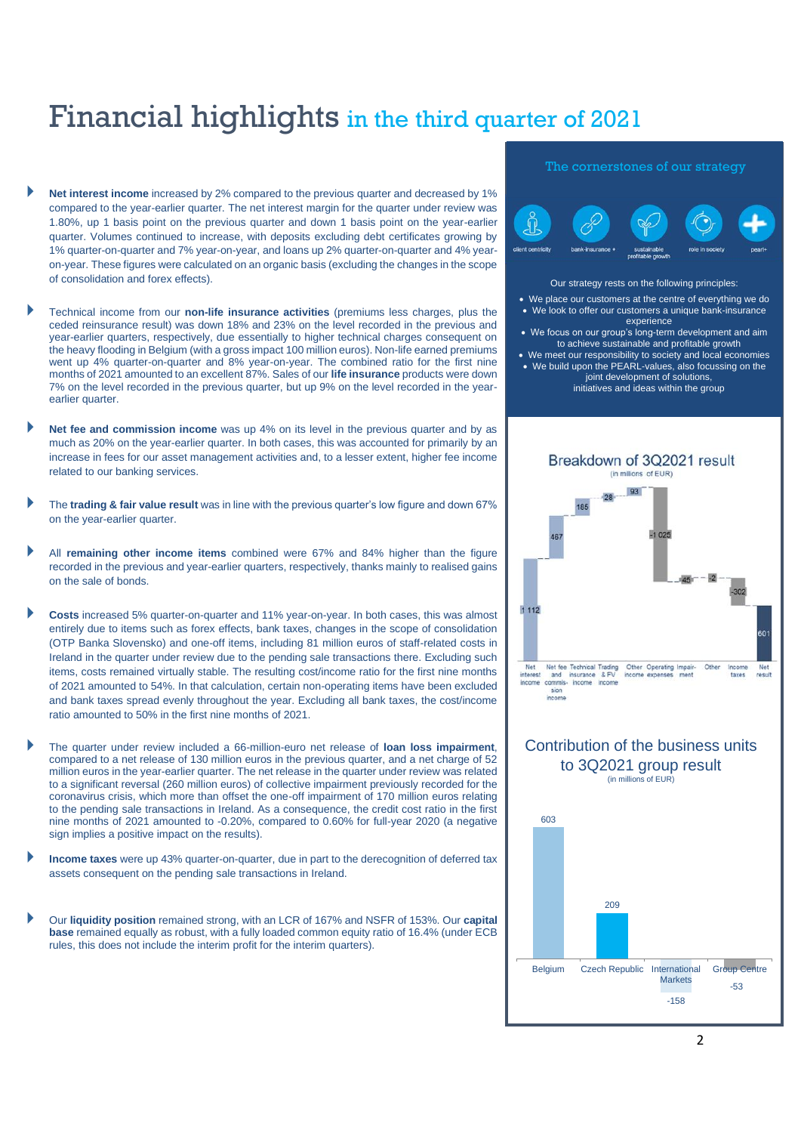## Financial highlights in the third quarter of 2021

- **Net interest income** increased by 2% compared to the previous quarter and decreased by 1% compared to the year-earlier quarter. The net interest margin for the quarter under review was 1.80%, up 1 basis point on the previous quarter and down 1 basis point on the year-earlier quarter. Volumes continued to increase, with deposits excluding debt certificates growing by 1% quarter-on-quarter and 7% year-on-year, and loans up 2% quarter-on-quarter and 4% yearon-year. These figures were calculated on an organic basis (excluding the changes in the scope of consolidation and forex effects).
- Technical income from our **non-life insurance activities** (premiums less charges, plus the ceded reinsurance result) was down 18% and 23% on the level recorded in the previous and year-earlier quarters, respectively, due essentially to higher technical charges consequent on the heavy flooding in Belgium (with a gross impact 100 million euros). Non-life earned premiums went up 4% quarter-on-quarter and 8% year-on-year. The combined ratio for the first nine months of 2021 amounted to an excellent 87%. Sales of our **life insurance** products were down 7% on the level recorded in the previous quarter, but up 9% on the level recorded in the yearearlier quarter.
- **Net fee and commission income** was up 4% on its level in the previous quarter and by as much as 20% on the year-earlier quarter. In both cases, this was accounted for primarily by an increase in fees for our asset management activities and, to a lesser extent, higher fee income related to our banking services.
- The **trading & fair value result** was in line with the previous quarter's low figure and down 67% on the year-earlier quarter.
- All **remaining other income items** combined were 67% and 84% higher than the figure recorded in the previous and year-earlier quarters, respectively, thanks mainly to realised gains on the sale of bonds.
- **Costs** increased 5% quarter-on-quarter and 11% year-on-year. In both cases, this was almost entirely due to items such as forex effects, bank taxes, changes in the scope of consolidation (OTP Banka Slovensko) and one-off items, including 81 million euros of staff-related costs in Ireland in the quarter under review due to the pending sale transactions there. Excluding such items, costs remained virtually stable. The resulting cost/income ratio for the first nine months of 2021 amounted to 54%. In that calculation, certain non-operating items have been excluded and bank taxes spread evenly throughout the year. Excluding all bank taxes, the cost/income ratio amounted to 50% in the first nine months of 2021.
- The quarter under review included a 66-million-euro net release of **loan loss impairment**, compared to a net release of 130 million euros in the previous quarter, and a net charge of 52 million euros in the year-earlier quarter. The net release in the quarter under review was related to a significant reversal (260 million euros) of collective impairment previously recorded for the coronavirus crisis, which more than offset the one-off impairment of 170 million euros relating to the pending sale transactions in Ireland. As a consequence, the credit cost ratio in the first nine months of 2021 amounted to -0.20%, compared to 0.60% for full-year 2020 (a negative sign implies a positive impact on the results).
- **Income taxes** were up 43% quarter-on-quarter, due in part to the derecognition of deferred tax assets consequent on the pending sale transactions in Ireland.
- Our **liquidity position** remained strong, with an LCR of 167% and NSFR of 153%. Our **capital base** remained equally as robust, with a fully loaded common equity ratio of 16.4% (under ECB rules, this does not include the interim profit for the interim quarters).

### The cornerstones of our strategy



### Our strategy rests on the following principles:

- We place our customers at the centre of everything we do • We look to offer our customers a unique bank-insurance
- experience • We focus on our group's long-term development and aim to achieve sustainable and profitable growth
- We meet our responsibility to society and local economies • We build upon the PEARL-values, also focussing on the joint development of solutions,
	- initiatives and ideas within the group



## Contribution of the business units to 3Q2021 group result (in millions of EUR)

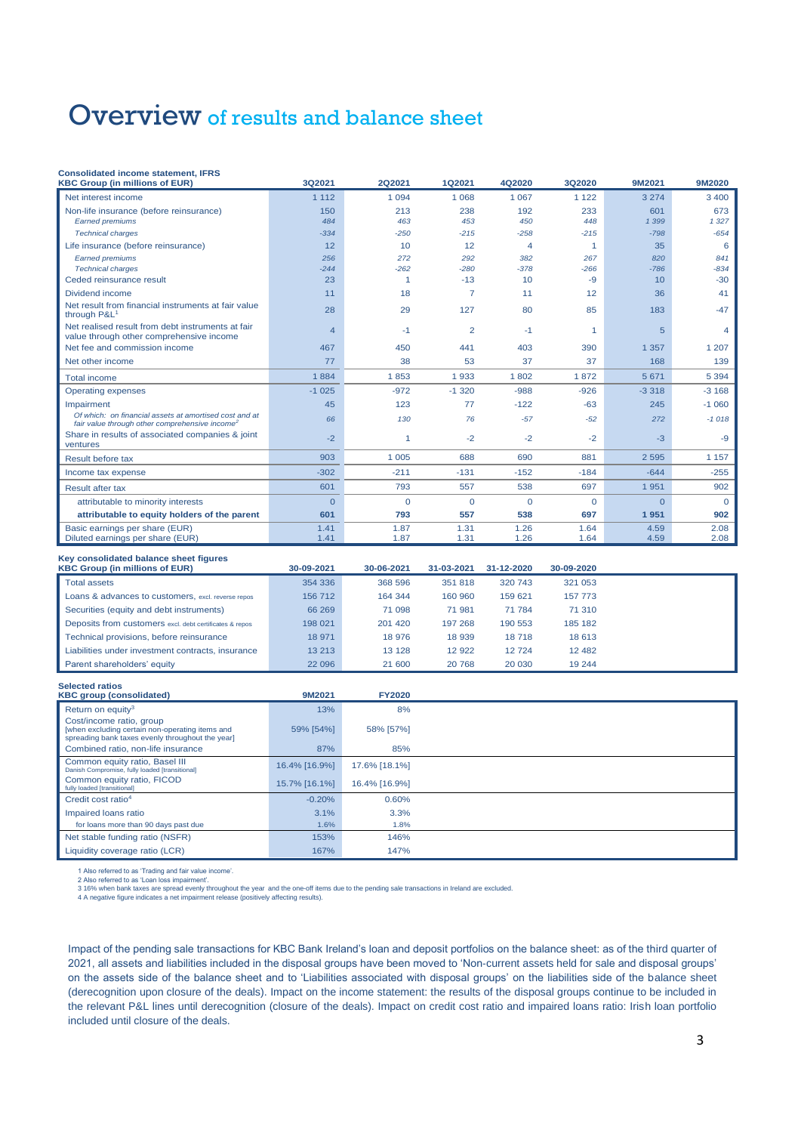## Overview of results and balance sheet

### **Consolidated income statement, IFRS**

| <b>KBC Group (in millions of EUR)</b>                                                                                | 3Q2021         | <b>2Q2021</b> | 1Q2021         | 4Q2020   | 3Q2020               | 9M2021   | 9M2020   |
|----------------------------------------------------------------------------------------------------------------------|----------------|---------------|----------------|----------|----------------------|----------|----------|
| Net interest income                                                                                                  | 1 1 1 2        | 1 0 9 4       | 1 0 6 8        | 1 0 6 7  | 1 1 2 2              | 3 2 7 4  | 3 4 0 0  |
| Non-life insurance (before reinsurance)                                                                              | 150            | 213           | 238            | 192      | 233                  | 601      | 673      |
| <b>Earned premiums</b>                                                                                               | 484            | 463           | 453            | 450      | 448                  | 1 3 9 9  | 1327     |
| <b>Technical charges</b>                                                                                             | $-334$         | $-250$        | $-215$         | $-258$   | $-215$               | $-798$   | $-654$   |
| Life insurance (before reinsurance)                                                                                  | 12             | 10            | 12             | 4        | $\blacktriangleleft$ | 35       | 6        |
| <b>Earned premiums</b>                                                                                               | 256            | 272           | 292            | 382      | 267                  | 820      | 841      |
| <b>Technical charges</b>                                                                                             | $-244$         | $-262$        | $-280$         | $-378$   | $-266$               | $-786$   | $-834$   |
| Ceded reinsurance result                                                                                             | 23             |               | $-13$          | 10       | -9                   | 10       | $-30$    |
| Dividend income                                                                                                      | 11             | 18            | $\overline{7}$ | 11       | 12                   | 36       | 41       |
| Net result from financial instruments at fair value<br>through P&L <sup>1</sup>                                      | 28             | 29            | 127            | 80       | 85                   | 183      | $-47$    |
| Net realised result from debt instruments at fair<br>value through other comprehensive income                        | $\overline{4}$ | $-1$          | $\overline{2}$ | $-1$     | -1                   | 5        | 4        |
| Net fee and commission income                                                                                        | 467            | 450           | 441            | 403      | 390                  | 1 3 5 7  | 1 207    |
| Net other income                                                                                                     | 77             | 38            | 53             | 37       | 37                   | 168      | 139      |
| <b>Total income</b>                                                                                                  | 1884           | 1853          | 1933           | 1802     | 1872                 | 5 6 7 1  | 5 3 9 4  |
| <b>Operating expenses</b>                                                                                            | $-1025$        | $-972$        | $-1,320$       | $-988$   | $-926$               | $-3318$  | $-3168$  |
| Impairment                                                                                                           | 45             | 123           | 77             | $-122$   | $-63$                | 245      | $-1060$  |
| Of which: on financial assets at amortised cost and at<br>fair value through other comprehensive income <sup>2</sup> | 66             | 130           | 76             | $-57$    | $-52$                | 272      | $-1018$  |
| Share in results of associated companies & joint<br>ventures                                                         | $-2$           | 1             | $-2$           | $-2$     | $-2$                 | $-3$     | $-9$     |
| Result before tax                                                                                                    | 903            | 1 0 0 5       | 688            | 690      | 881                  | 2 5 9 5  | 1 1 5 7  |
| Income tax expense                                                                                                   | $-302$         | $-211$        | $-131$         | $-152$   | $-184$               | $-644$   | $-255$   |
| Result after tax                                                                                                     | 601            | 793           | 557            | 538      | 697                  | 1951     | 902      |
| attributable to minority interests                                                                                   | $\overline{0}$ | $\mathbf{0}$  | $\Omega$       | $\Omega$ | $\Omega$             | $\Omega$ | $\Omega$ |
| attributable to equity holders of the parent                                                                         | 601            | 793           | 557            | 538      | 697                  | 1951     | 902      |
| Basic earnings per share (EUR)                                                                                       | 1.41           | 1.87          | 1.31           | 1.26     | 1.64                 | 4.59     | 2.08     |
| Diluted earnings per share (EUR)                                                                                     | 1.41           | 1.87          | 1.31           | 1.26     | 1.64                 | 4.59     | 2.08     |

### **Key consolidated balance sheet figures**

| <b>KBC Group (in millions of EUR)</b>                   | 30-09-2021 | 30-06-2021 | 31-03-2021 | 31-12-2020 | 30-09-2020 |  |
|---------------------------------------------------------|------------|------------|------------|------------|------------|--|
| <b>Total assets</b>                                     | 354 336    | 368 596    | 351818     | 320 743    | 321 053    |  |
| Loans & advances to customers, excl. reverse repos      | 156 712    | 164 344    | 160 960    | 159 621    | 157 773    |  |
| Securities (equity and debt instruments)                | 66 269     | 71 098     | 71 981     | 71 784     | 71 310     |  |
| Deposits from customers excl. debt certificates & repos | 198 021    | 201 420    | 197 268    | 190 553    | 185 182    |  |
| Technical provisions, before reinsurance                | 18 971     | 18 976     | 18 939     | 18718      | 18 613     |  |
| Liabilities under investment contracts, insurance       | 13 213     | 13 1 28    | 12 922     | 12724      | 12 4 8 2   |  |
| Parent shareholders' equity                             | 22 096     | 21 600     | 20768      | 20 030     | 19 244     |  |

| <b>Selected ratios</b><br><b>KBC group (consolidated)</b>                                                                       | 9M2021        | <b>FY2020</b> |  |
|---------------------------------------------------------------------------------------------------------------------------------|---------------|---------------|--|
|                                                                                                                                 |               |               |  |
| Return on equity <sup>3</sup>                                                                                                   | 13%           | 8%            |  |
| Cost/income ratio, group<br>[when excluding certain non-operating items and<br>spreading bank taxes evenly throughout the year] | 59% [54%]     | 58% [57%]     |  |
| Combined ratio, non-life insurance                                                                                              | 87%           | 85%           |  |
| Common equity ratio, Basel III<br>Danish Compromise, fully loaded [transitional]                                                | 16.4% [16.9%] | 17.6% [18.1%] |  |
| Common equity ratio, FICOD<br>fully loaded [transitional]                                                                       | 15.7% [16.1%] | 16.4% [16.9%] |  |
| Credit cost ratio <sup>4</sup>                                                                                                  | $-0.20%$      | 0.60%         |  |
| Impaired loans ratio                                                                                                            | 3.1%          | 3.3%          |  |
| for loans more than 90 days past due                                                                                            | 1.6%          | 1.8%          |  |
| Net stable funding ratio (NSFR)                                                                                                 | 153%          | 146%          |  |
| Liquidity coverage ratio (LCR)                                                                                                  | 167%          | 147%          |  |

1 Also referred to as "Trading and fair value income".<br>2 Also referred to as "Loan loss impairment".<br>3 16% when bank taxes are spread evenly throughout the year and the one-off items due to the pending sale transactions in

4 A negative figure indicates a net impairment release (positively affecting results).

Impact of the pending sale transactions for KBC Bank Ireland's loan and deposit portfolios on the balance sheet: as of the third quarter of 2021, all assets and liabilities included in the disposal groups have been moved to 'Non‐current assets held for sale and disposal groups' on the assets side of the balance sheet and to 'Liabilities associated with disposal groups' on the liabilities side of the balance sheet (derecognition upon closure of the deals). Impact on the income statement: the results of the disposal groups continue to be included in the relevant P&L lines until derecognition (closure of the deals). Impact on credit cost ratio and impaired loans ratio: Irish loan portfolio included until closure of the deals.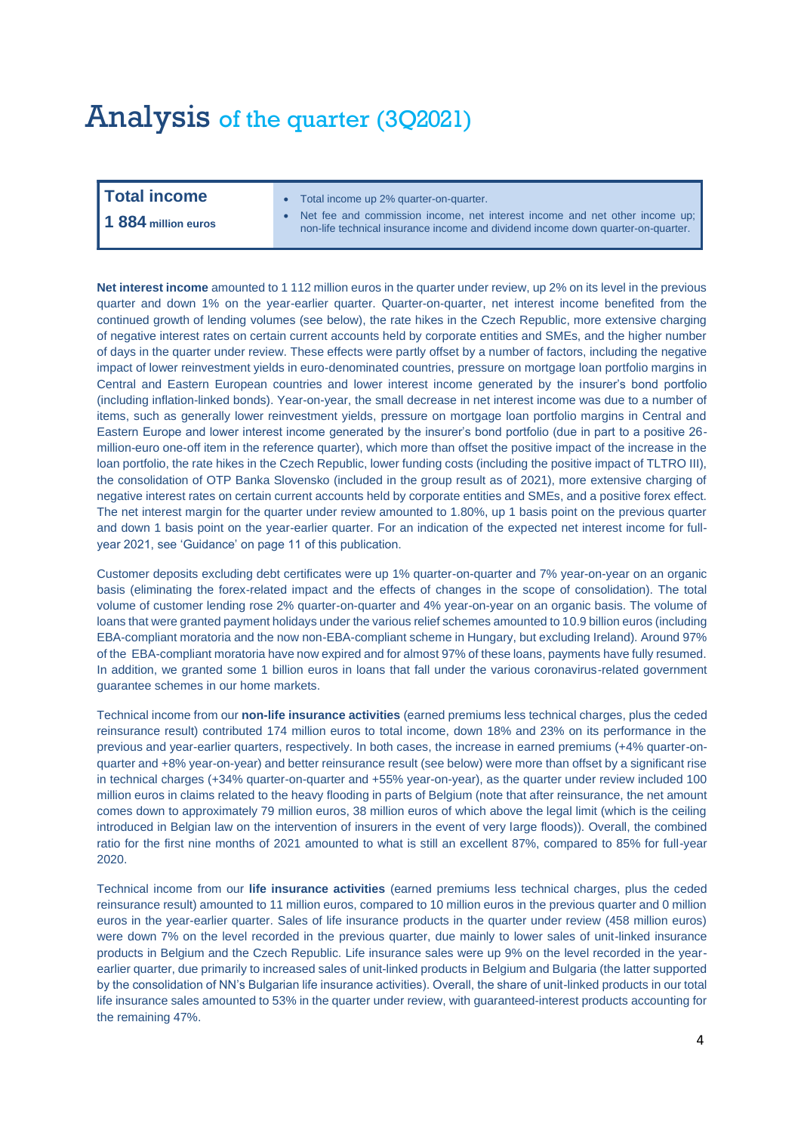## Analysis of the quarter (3Q2021)

- **Total income** Total income up 2% quarter-on-quarter.
- Net fee and commission income, net interest income and net other income up; **1 884 million euros** non-life technical insurance income and dividend income down quarter-on-quarter.

**Net interest income** amounted to 1 112 million euros in the quarter under review, up 2% on its level in the previous quarter and down 1% on the year-earlier quarter. Quarter-on-quarter, net interest income benefited from the continued growth of lending volumes (see below), the rate hikes in the Czech Republic, more extensive charging of negative interest rates on certain current accounts held by corporate entities and SMEs, and the higher number of days in the quarter under review. These effects were partly offset by a number of factors, including the negative impact of lower reinvestment yields in euro-denominated countries, pressure on mortgage loan portfolio margins in Central and Eastern European countries and lower interest income generated by the insurer's bond portfolio (including inflation-linked bonds). Year-on-year, the small decrease in net interest income was due to a number of items, such as generally lower reinvestment yields, pressure on mortgage loan portfolio margins in Central and Eastern Europe and lower interest income generated by the insurer's bond portfolio (due in part to a positive 26 million-euro one-off item in the reference quarter), which more than offset the positive impact of the increase in the loan portfolio, the rate hikes in the Czech Republic, lower funding costs (including the positive impact of TLTRO III), the consolidation of OTP Banka Slovensko (included in the group result as of 2021), more extensive charging of negative interest rates on certain current accounts held by corporate entities and SMEs, and a positive forex effect. The net interest margin for the quarter under review amounted to 1.80%, up 1 basis point on the previous quarter and down 1 basis point on the year-earlier quarter. For an indication of the expected net interest income for fullyear 2021, see 'Guidance' on page 11 of this publication.

Customer deposits excluding debt certificates were up 1% quarter-on-quarter and 7% year-on-year on an organic basis (eliminating the forex-related impact and the effects of changes in the scope of consolidation). The total volume of customer lending rose 2% quarter-on-quarter and 4% year-on-year on an organic basis. The volume of loans that were granted payment holidays under the various relief schemes amounted to 10.9 billion euros (including EBA-compliant moratoria and the now non-EBA-compliant scheme in Hungary, but excluding Ireland). Around 97% of the EBA-compliant moratoria have now expired and for almost 97% of these loans, payments have fully resumed. In addition, we granted some 1 billion euros in loans that fall under the various coronavirus-related government guarantee schemes in our home markets.

Technical income from our **non-life insurance activities** (earned premiums less technical charges, plus the ceded reinsurance result) contributed 174 million euros to total income, down 18% and 23% on its performance in the previous and year-earlier quarters, respectively. In both cases, the increase in earned premiums (+4% quarter-onquarter and +8% year-on-year) and better reinsurance result (see below) were more than offset by a significant rise in technical charges (+34% quarter-on-quarter and +55% year-on-year), as the quarter under review included 100 million euros in claims related to the heavy flooding in parts of Belgium (note that after reinsurance, the net amount comes down to approximately 79 million euros, 38 million euros of which above the legal limit (which is the ceiling introduced in Belgian law on the intervention of insurers in the event of very large floods)). Overall, the combined ratio for the first nine months of 2021 amounted to what is still an excellent 87%, compared to 85% for full-year 2020.

Technical income from our **life insurance activities** (earned premiums less technical charges, plus the ceded reinsurance result) amounted to 11 million euros, compared to 10 million euros in the previous quarter and 0 million euros in the year-earlier quarter. Sales of life insurance products in the quarter under review (458 million euros) were down 7% on the level recorded in the previous quarter, due mainly to lower sales of unit-linked insurance products in Belgium and the Czech Republic. Life insurance sales were up 9% on the level recorded in the yearearlier quarter, due primarily to increased sales of unit-linked products in Belgium and Bulgaria (the latter supported by the consolidation of NN's Bulgarian life insurance activities). Overall, the share of unit-linked products in our total life insurance sales amounted to 53% in the quarter under review, with guaranteed-interest products accounting for the remaining 47%.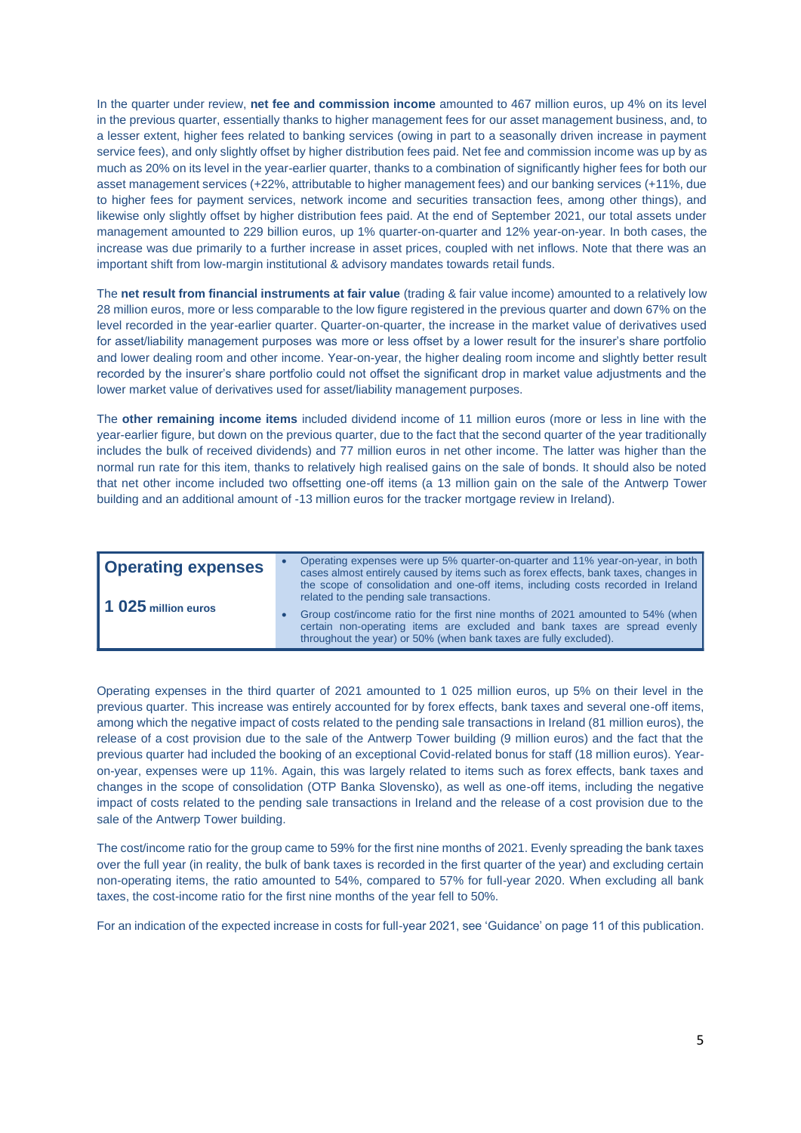In the quarter under review, **net fee and commission income** amounted to 467 million euros, up 4% on its level in the previous quarter, essentially thanks to higher management fees for our asset management business, and, to a lesser extent, higher fees related to banking services (owing in part to a seasonally driven increase in payment service fees), and only slightly offset by higher distribution fees paid. Net fee and commission income was up by as much as 20% on its level in the year-earlier quarter, thanks to a combination of significantly higher fees for both our asset management services (+22%, attributable to higher management fees) and our banking services (+11%, due to higher fees for payment services, network income and securities transaction fees, among other things), and likewise only slightly offset by higher distribution fees paid. At the end of September 2021, our total assets under management amounted to 229 billion euros, up 1% quarter-on-quarter and 12% year-on-year. In both cases, the increase was due primarily to a further increase in asset prices, coupled with net inflows. Note that there was an important shift from low-margin institutional & advisory mandates towards retail funds.

The **net result from financial instruments at fair value** (trading & fair value income) amounted to a relatively low 28 million euros, more or less comparable to the low figure registered in the previous quarter and down 67% on the level recorded in the year-earlier quarter. Quarter-on-quarter, the increase in the market value of derivatives used for asset/liability management purposes was more or less offset by a lower result for the insurer's share portfolio and lower dealing room and other income. Year-on-year, the higher dealing room income and slightly better result recorded by the insurer's share portfolio could not offset the significant drop in market value adjustments and the lower market value of derivatives used for asset/liability management purposes.

The **other remaining income items** included dividend income of 11 million euros (more or less in line with the year-earlier figure, but down on the previous quarter, due to the fact that the second quarter of the year traditionally includes the bulk of received dividends) and 77 million euros in net other income. The latter was higher than the normal run rate for this item, thanks to relatively high realised gains on the sale of bonds. It should also be noted that net other income included two offsetting one-off items (a 13 million gain on the sale of the Antwerp Tower building and an additional amount of -13 million euros for the tracker mortgage review in Ireland).

| <b>Operating expenses</b> | Operating expenses were up 5% quarter-on-quarter and 11% year-on-year, in both<br>cases almost entirely caused by items such as forex effects, bank taxes, changes in<br>the scope of consolidation and one-off items, including costs recorded in Ireland |
|---------------------------|------------------------------------------------------------------------------------------------------------------------------------------------------------------------------------------------------------------------------------------------------------|
| 11 025 million euros      | related to the pending sale transactions.<br>Group cost/income ratio for the first nine months of 2021 amounted to 54% (when<br>certain non-operating items are excluded and bank taxes are spread evenly                                                  |
|                           | throughout the year) or 50% (when bank taxes are fully excluded).                                                                                                                                                                                          |

Operating expenses in the third quarter of 2021 amounted to 1 025 million euros, up 5% on their level in the previous quarter. This increase was entirely accounted for by forex effects, bank taxes and several one-off items, among which the negative impact of costs related to the pending sale transactions in Ireland (81 million euros), the release of a cost provision due to the sale of the Antwerp Tower building (9 million euros) and the fact that the previous quarter had included the booking of an exceptional Covid-related bonus for staff (18 million euros). Yearon-year, expenses were up 11%. Again, this was largely related to items such as forex effects, bank taxes and changes in the scope of consolidation (OTP Banka Slovensko), as well as one-off items, including the negative impact of costs related to the pending sale transactions in Ireland and the release of a cost provision due to the sale of the Antwerp Tower building.

The cost/income ratio for the group came to 59% for the first nine months of 2021. Evenly spreading the bank taxes over the full year (in reality, the bulk of bank taxes is recorded in the first quarter of the year) and excluding certain non-operating items, the ratio amounted to 54%, compared to 57% for full-year 2020. When excluding all bank taxes, the cost-income ratio for the first nine months of the year fell to 50%.

For an indication of the expected increase in costs for full-year 2021, see 'Guidance' on page 11 of this publication.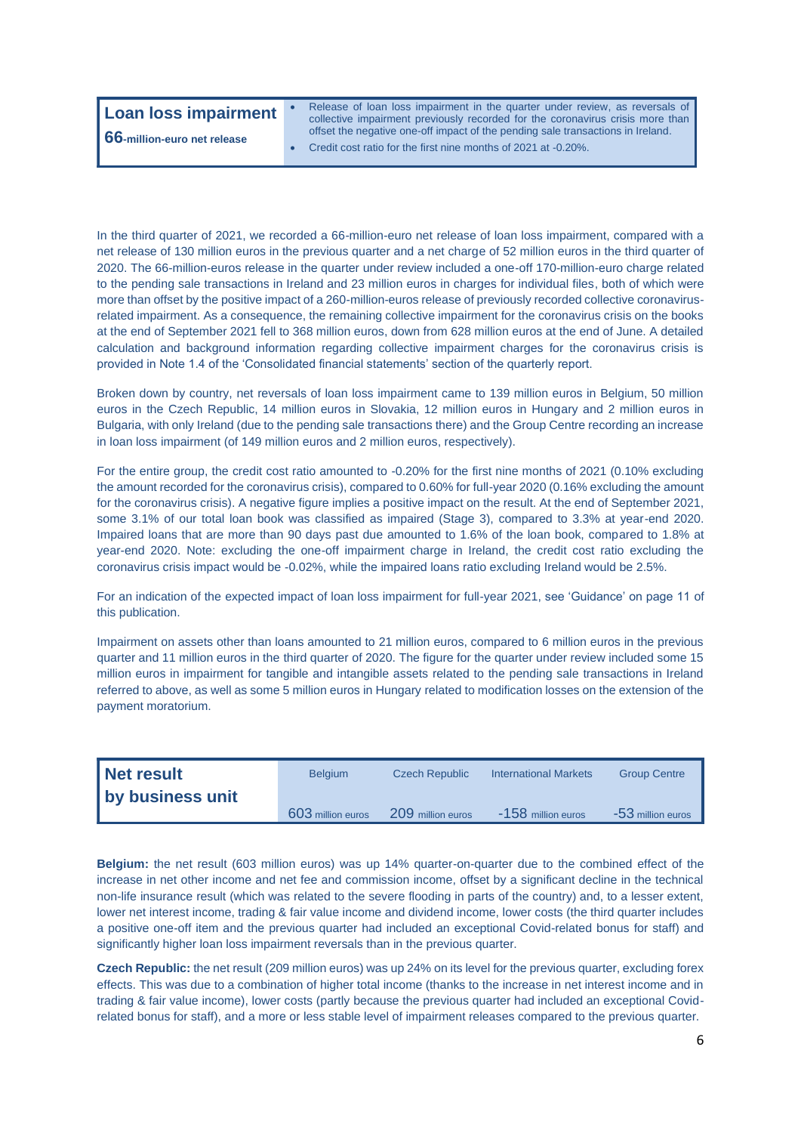### **Loan loss impairment** • Release of loan loss impairment in the quarter under review, as reversals of collective impairment previously recorded for the coronavirus crisis more than offset the negative one-off impact of the pending sale transactions in Ireland. • Credit cost ratio for the first nine months of 2021 at -0.20%. **66-million-euro net release**

In the third quarter of 2021, we recorded a 66-million-euro net release of loan loss impairment, compared with a net release of 130 million euros in the previous quarter and a net charge of 52 million euros in the third quarter of 2020. The 66-million-euros release in the quarter under review included a one-off 170-million-euro charge related to the pending sale transactions in Ireland and 23 million euros in charges for individual files, both of which were more than offset by the positive impact of a 260-million-euros release of previously recorded collective coronavirusrelated impairment. As a consequence, the remaining collective impairment for the coronavirus crisis on the books at the end of September 2021 fell to 368 million euros, down from 628 million euros at the end of June. A detailed calculation and background information regarding collective impairment charges for the coronavirus crisis is provided in Note 1.4 of the 'Consolidated financial statements' section of the quarterly report.

Broken down by country, net reversals of loan loss impairment came to 139 million euros in Belgium, 50 million euros in the Czech Republic, 14 million euros in Slovakia, 12 million euros in Hungary and 2 million euros in Bulgaria, with only Ireland (due to the pending sale transactions there) and the Group Centre recording an increase in loan loss impairment (of 149 million euros and 2 million euros, respectively).

For the entire group, the credit cost ratio amounted to -0.20% for the first nine months of 2021 (0.10% excluding the amount recorded for the coronavirus crisis), compared to 0.60% for full-year 2020 (0.16% excluding the amount for the coronavirus crisis). A negative figure implies a positive impact on the result. At the end of September 2021, some 3.1% of our total loan book was classified as impaired (Stage 3), compared to 3.3% at year-end 2020. Impaired loans that are more than 90 days past due amounted to 1.6% of the loan book, compared to 1.8% at year-end 2020. Note: excluding the one-off impairment charge in Ireland, the credit cost ratio excluding the coronavirus crisis impact would be -0.02%, while the impaired loans ratio excluding Ireland would be 2.5%.

For an indication of the expected impact of loan loss impairment for full-year 2021, see 'Guidance' on page 11 of this publication.

Impairment on assets other than loans amounted to 21 million euros, compared to 6 million euros in the previous quarter and 11 million euros in the third quarter of 2020. The figure for the quarter under review included some 15 million euros in impairment for tangible and intangible assets related to the pending sale transactions in Ireland referred to above, as well as some 5 million euros in Hungary related to modification losses on the extension of the payment moratorium.

| Net result       | <b>Belgium</b>    | <b>Czech Republic</b> | <b>International Markets</b> | <b>Group Centre</b> |
|------------------|-------------------|-----------------------|------------------------------|---------------------|
| by business unit |                   |                       |                              |                     |
|                  | 603 million euros | 209 million euros     | -158 million euros           | -53 million euros   |

**Belgium:** the net result (603 million euros) was up 14% quarter-on-quarter due to the combined effect of the increase in net other income and net fee and commission income, offset by a significant decline in the technical non-life insurance result (which was related to the severe flooding in parts of the country) and, to a lesser extent, lower net interest income, trading & fair value income and dividend income, lower costs (the third quarter includes a positive one-off item and the previous quarter had included an exceptional Covid-related bonus for staff) and significantly higher loan loss impairment reversals than in the previous quarter.

**Czech Republic:** the net result (209 million euros) was up 24% on its level for the previous quarter, excluding forex effects. This was due to a combination of higher total income (thanks to the increase in net interest income and in trading & fair value income), lower costs (partly because the previous quarter had included an exceptional Covidrelated bonus for staff), and a more or less stable level of impairment releases compared to the previous quarter.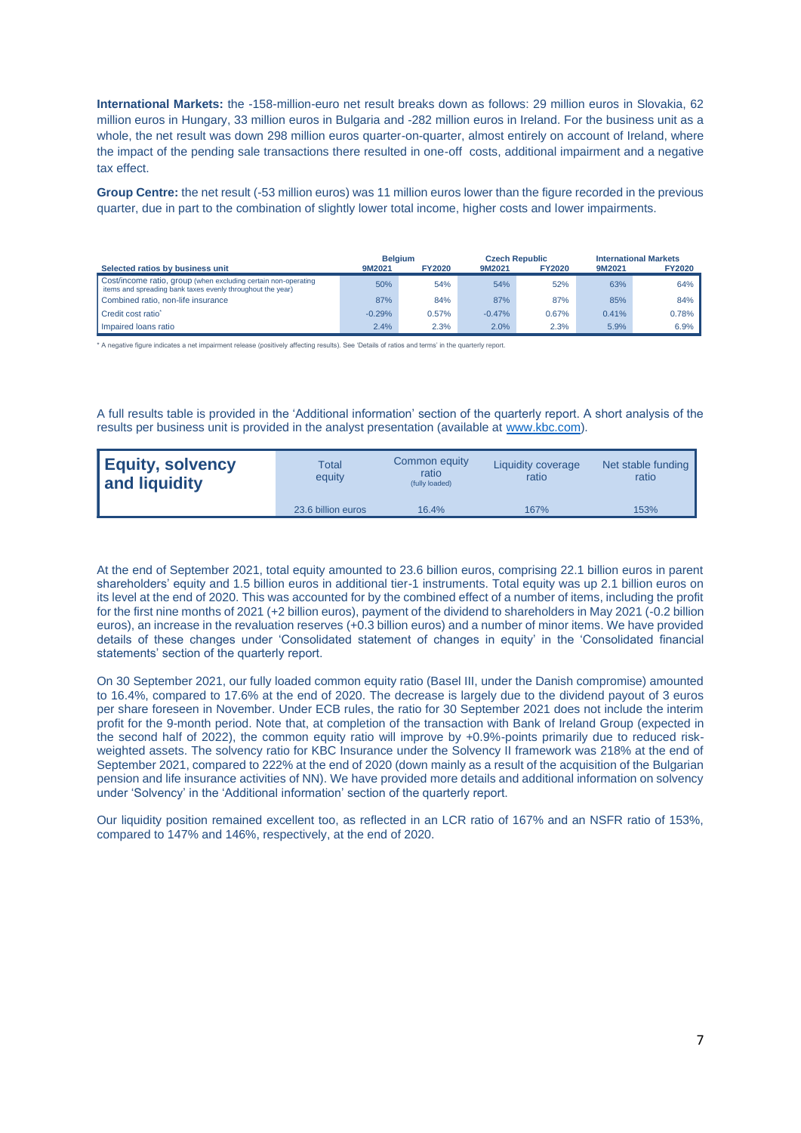**International Markets:** the -158-million-euro net result breaks down as follows: 29 million euros in Slovakia, 62 million euros in Hungary, 33 million euros in Bulgaria and -282 million euros in Ireland. For the business unit as a whole, the net result was down 298 million euros quarter-on-quarter, almost entirely on account of Ireland, where the impact of the pending sale transactions there resulted in one-off costs, additional impairment and a negative tax effect.

**Group Centre:** the net result (-53 million euros) was 11 million euros lower than the figure recorded in the previous quarter, due in part to the combination of slightly lower total income, higher costs and lower impairments.

|                                                                                                                              | <b>Belaium</b> |               |          | <b>Czech Republic</b> |        | <b>International Markets</b> |
|------------------------------------------------------------------------------------------------------------------------------|----------------|---------------|----------|-----------------------|--------|------------------------------|
| Selected ratios by business unit                                                                                             | 9M2021         | <b>FY2020</b> | 9M2021   | <b>FY2020</b>         | 9M2021 | <b>FY2020</b>                |
| Cost/income ratio, group (when excluding certain non-operating<br>items and spreading bank taxes evenly throughout the year) | 50%            | 54%           | 54%      | 52%                   | 63%    | 64%                          |
| Combined ratio, non-life insurance                                                                                           | 87%            | 84%           | 87%      | 87%                   | 85%    | 84%                          |
| Credit cost ratio <sup>*</sup>                                                                                               | $-0.29%$       | 0.57%         | $-0.47%$ | 0.67%                 | 0.41%  | 0.78%                        |
| I Impaired loans ratio                                                                                                       | 2.4%           | 2.3%          | 2.0%     | 2.3%                  | 5.9%   | 6.9%                         |

\* A negative figure indicates a net impairment release (positively affecting results). See 'Details of ratios and terms' in the quarterly report.

A full results table is provided in the 'Additional information' section of the quarterly report. A short analysis of the results per business unit is provided in the analyst presentation (available at [www.kbc.com\)](http://www.kbc.com/).

| <b>Equity, solvency</b><br>and liquidity | Total<br>equity    | Common equity<br>ratio<br>(fully loaded) | Liquidity coverage<br>ratio | Net stable funding<br>ratio |
|------------------------------------------|--------------------|------------------------------------------|-----------------------------|-----------------------------|
|                                          | 23.6 billion euros | 16.4%                                    | 167%                        | 153%                        |

At the end of September 2021, total equity amounted to 23.6 billion euros, comprising 22.1 billion euros in parent shareholders' equity and 1.5 billion euros in additional tier-1 instruments. Total equity was up 2.1 billion euros on its level at the end of 2020. This was accounted for by the combined effect of a number of items, including the profit for the first nine months of 2021 (+2 billion euros), payment of the dividend to shareholders in May 2021 (-0.2 billion euros), an increase in the revaluation reserves (+0.3 billion euros) and a number of minor items. We have provided details of these changes under 'Consolidated statement of changes in equity' in the 'Consolidated financial statements' section of the quarterly report.

On 30 September 2021, our fully loaded common equity ratio (Basel III, under the Danish compromise) amounted to 16.4%, compared to 17.6% at the end of 2020. The decrease is largely due to the dividend payout of 3 euros per share foreseen in November. Under ECB rules, the ratio for 30 September 2021 does not include the interim profit for the 9-month period. Note that, at completion of the transaction with Bank of Ireland Group (expected in the second half of 2022), the common equity ratio will improve by +0.9%-points primarily due to reduced riskweighted assets. The solvency ratio for KBC Insurance under the Solvency II framework was 218% at the end of September 2021, compared to 222% at the end of 2020 (down mainly as a result of the acquisition of the Bulgarian pension and life insurance activities of NN). We have provided more details and additional information on solvency under 'Solvency' in the 'Additional information' section of the quarterly report.

Our liquidity position remained excellent too, as reflected in an LCR ratio of 167% and an NSFR ratio of 153%, compared to 147% and 146%, respectively, at the end of 2020.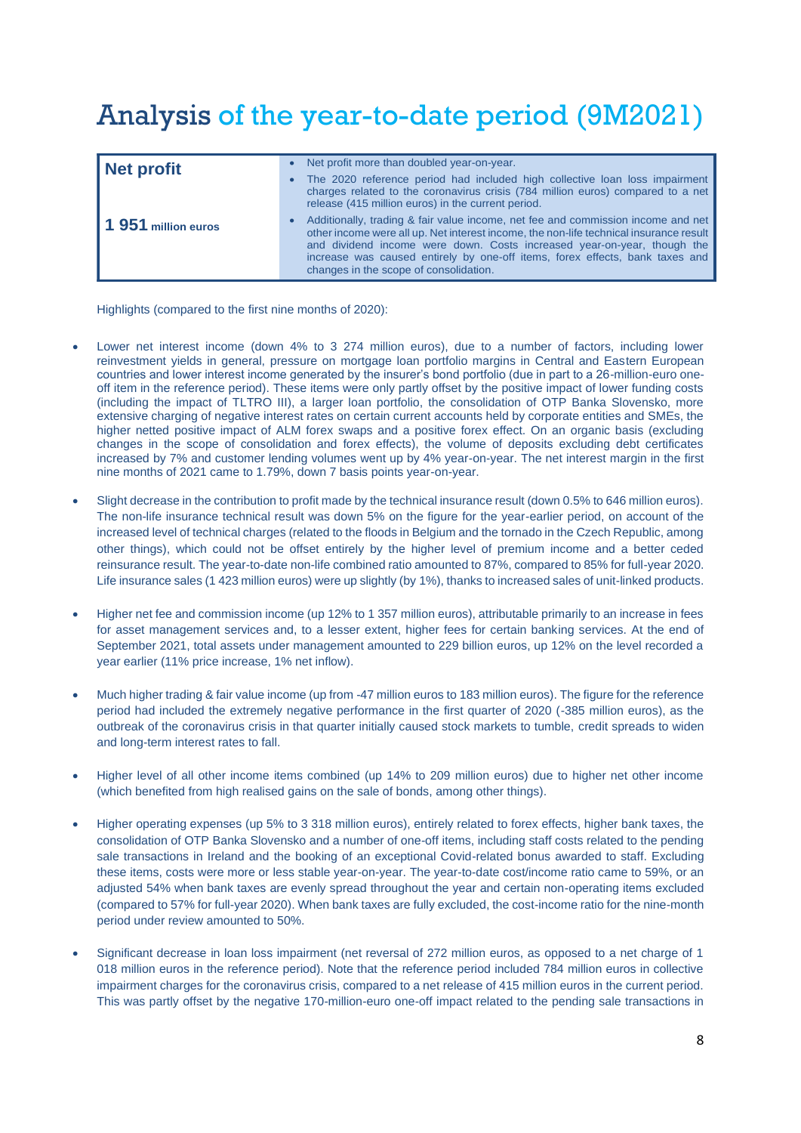# Analysis of the year-to-date period (9M2021)

| Net profit                   | Net profit more than doubled year-on-year.<br>The 2020 reference period had included high collective loan loss impairment<br>$\bullet$<br>charges related to the coronavirus crisis (784 million euros) compared to a net<br>release (415 million euros) in the current period.                                                                                                 |
|------------------------------|---------------------------------------------------------------------------------------------------------------------------------------------------------------------------------------------------------------------------------------------------------------------------------------------------------------------------------------------------------------------------------|
| $\sqrt{1}$ 951 million euros | Additionally, trading & fair value income, net fee and commission income and net<br>other income were all up. Net interest income, the non-life technical insurance result<br>and dividend income were down. Costs increased year-on-year, though the<br>increase was caused entirely by one-off items, forex effects, bank taxes and<br>changes in the scope of consolidation. |

Highlights (compared to the first nine months of 2020):

- Lower net interest income (down 4% to 3 274 million euros), due to a number of factors, including lower reinvestment yields in general, pressure on mortgage loan portfolio margins in Central and Eastern European countries and lower interest income generated by the insurer's bond portfolio (due in part to a 26-million-euro oneoff item in the reference period). These items were only partly offset by the positive impact of lower funding costs (including the impact of TLTRO III), a larger loan portfolio, the consolidation of OTP Banka Slovensko, more extensive charging of negative interest rates on certain current accounts held by corporate entities and SMEs, the higher netted positive impact of ALM forex swaps and a positive forex effect. On an organic basis (excluding changes in the scope of consolidation and forex effects), the volume of deposits excluding debt certificates increased by 7% and customer lending volumes went up by 4% year-on-year. The net interest margin in the first nine months of 2021 came to 1.79%, down 7 basis points year-on-year.
- Slight decrease in the contribution to profit made by the technical insurance result (down 0.5% to 646 million euros). The non-life insurance technical result was down 5% on the figure for the year-earlier period, on account of the increased level of technical charges (related to the floods in Belgium and the tornado in the Czech Republic, among other things), which could not be offset entirely by the higher level of premium income and a better ceded reinsurance result. The year-to-date non-life combined ratio amounted to 87%, compared to 85% for full-year 2020. Life insurance sales (1 423 million euros) were up slightly (by 1%), thanks to increased sales of unit-linked products.
- Higher net fee and commission income (up 12% to 1 357 million euros), attributable primarily to an increase in fees for asset management services and, to a lesser extent, higher fees for certain banking services. At the end of September 2021, total assets under management amounted to 229 billion euros, up 12% on the level recorded a year earlier (11% price increase, 1% net inflow).
- Much higher trading & fair value income (up from -47 million euros to 183 million euros). The figure for the reference period had included the extremely negative performance in the first quarter of 2020 (-385 million euros), as the outbreak of the coronavirus crisis in that quarter initially caused stock markets to tumble, credit spreads to widen and long-term interest rates to fall.
- Higher level of all other income items combined (up 14% to 209 million euros) due to higher net other income (which benefited from high realised gains on the sale of bonds, among other things).
- Higher operating expenses (up 5% to 3 318 million euros), entirely related to forex effects, higher bank taxes, the consolidation of OTP Banka Slovensko and a number of one-off items, including staff costs related to the pending sale transactions in Ireland and the booking of an exceptional Covid-related bonus awarded to staff. Excluding these items, costs were more or less stable year-on-year. The year-to-date cost/income ratio came to 59%, or an adjusted 54% when bank taxes are evenly spread throughout the year and certain non-operating items excluded (compared to 57% for full-year 2020). When bank taxes are fully excluded, the cost-income ratio for the nine-month period under review amounted to 50%.
- Significant decrease in loan loss impairment (net reversal of 272 million euros, as opposed to a net charge of 1 018 million euros in the reference period). Note that the reference period included 784 million euros in collective impairment charges for the coronavirus crisis, compared to a net release of 415 million euros in the current period. This was partly offset by the negative 170-million-euro one-off impact related to the pending sale transactions in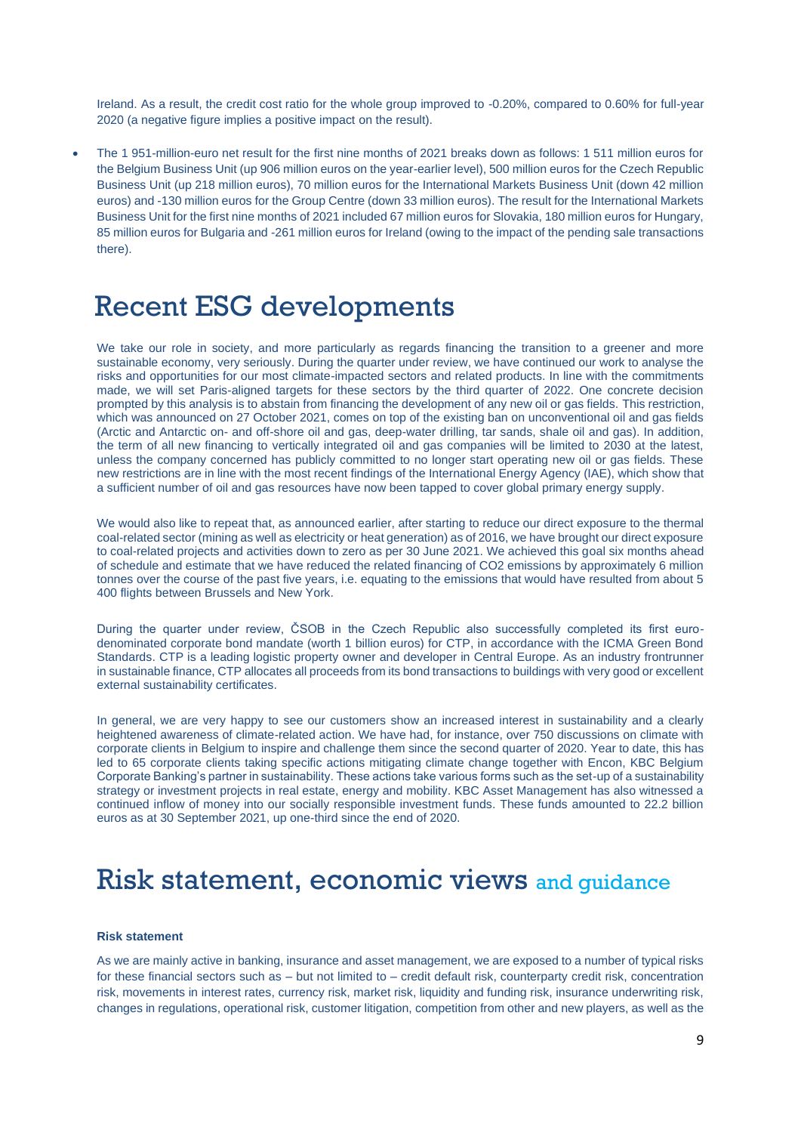Ireland. As a result, the credit cost ratio for the whole group improved to -0.20%, compared to 0.60% for full-year 2020 (a negative figure implies a positive impact on the result).

• The 1 951-million-euro net result for the first nine months of 2021 breaks down as follows: 1 511 million euros for the Belgium Business Unit (up 906 million euros on the year-earlier level), 500 million euros for the Czech Republic Business Unit (up 218 million euros), 70 million euros for the International Markets Business Unit (down 42 million euros) and -130 million euros for the Group Centre (down 33 million euros). The result for the International Markets Business Unit for the first nine months of 2021 included 67 million euros for Slovakia, 180 million euros for Hungary, 85 million euros for Bulgaria and -261 million euros for Ireland (owing to the impact of the pending sale transactions there).

## Recent ESG developments

We take our role in society, and more particularly as regards financing the transition to a greener and more sustainable economy, very seriously. During the quarter under review, we have continued our work to analyse the risks and opportunities for our most climate-impacted sectors and related products. In line with the commitments made, we will set Paris-aligned targets for these sectors by the third quarter of 2022. One concrete decision prompted by this analysis is to abstain from financing the development of any new oil or gas fields. This restriction, which was announced on 27 October 2021, comes on top of the existing ban on unconventional oil and gas fields (Arctic and Antarctic on- and off-shore oil and gas, deep-water drilling, tar sands, shale oil and gas). In addition, the term of all new financing to vertically integrated oil and gas companies will be limited to 2030 at the latest, unless the company concerned has publicly committed to no longer start operating new oil or gas fields. These new restrictions are in line with the most recent findings of the International Energy Agency (IAE), which show that a sufficient number of oil and gas resources have now been tapped to cover global primary energy supply.

We would also like to repeat that, as announced earlier, after starting to reduce our direct exposure to the thermal coal-related sector (mining as well as electricity or heat generation) as of 2016, we have brought our direct exposure to coal-related projects and activities down to zero as per 30 June 2021. We achieved this goal six months ahead of schedule and estimate that we have reduced the related financing of CO2 emissions by approximately 6 million tonnes over the course of the past five years, i.e. equating to the emissions that would have resulted from about 5 400 flights between Brussels and New York.

During the quarter under review, ČSOB in the Czech Republic also successfully completed its first eurodenominated corporate bond mandate (worth 1 billion euros) for CTP, in accordance with the ICMA Green Bond Standards. CTP is a leading logistic property owner and developer in Central Europe. As an industry frontrunner in sustainable finance, CTP allocates all proceeds from its bond transactions to buildings with very good or excellent external sustainability certificates.

In general, we are very happy to see our customers show an increased interest in sustainability and a clearly heightened awareness of climate-related action. We have had, for instance, over 750 discussions on climate with corporate clients in Belgium to inspire and challenge them since the second quarter of 2020. Year to date, this has led to 65 corporate clients taking specific actions mitigating climate change together with Encon, KBC Belgium Corporate Banking's partner in sustainability. These actions take various forms such as the set-up of a sustainability strategy or investment projects in real estate, energy and mobility. KBC Asset Management has also witnessed a continued inflow of money into our socially responsible investment funds. These funds amounted to 22.2 billion euros as at 30 September 2021, up one-third since the end of 2020.

## Risk statement, economic views and guidance

## **Risk statement**

As we are mainly active in banking, insurance and asset management, we are exposed to a number of typical risks for these financial sectors such as – but not limited to – credit default risk, counterparty credit risk, concentration risk, movements in interest rates, currency risk, market risk, liquidity and funding risk, insurance underwriting risk, changes in regulations, operational risk, customer litigation, competition from other and new players, as well as the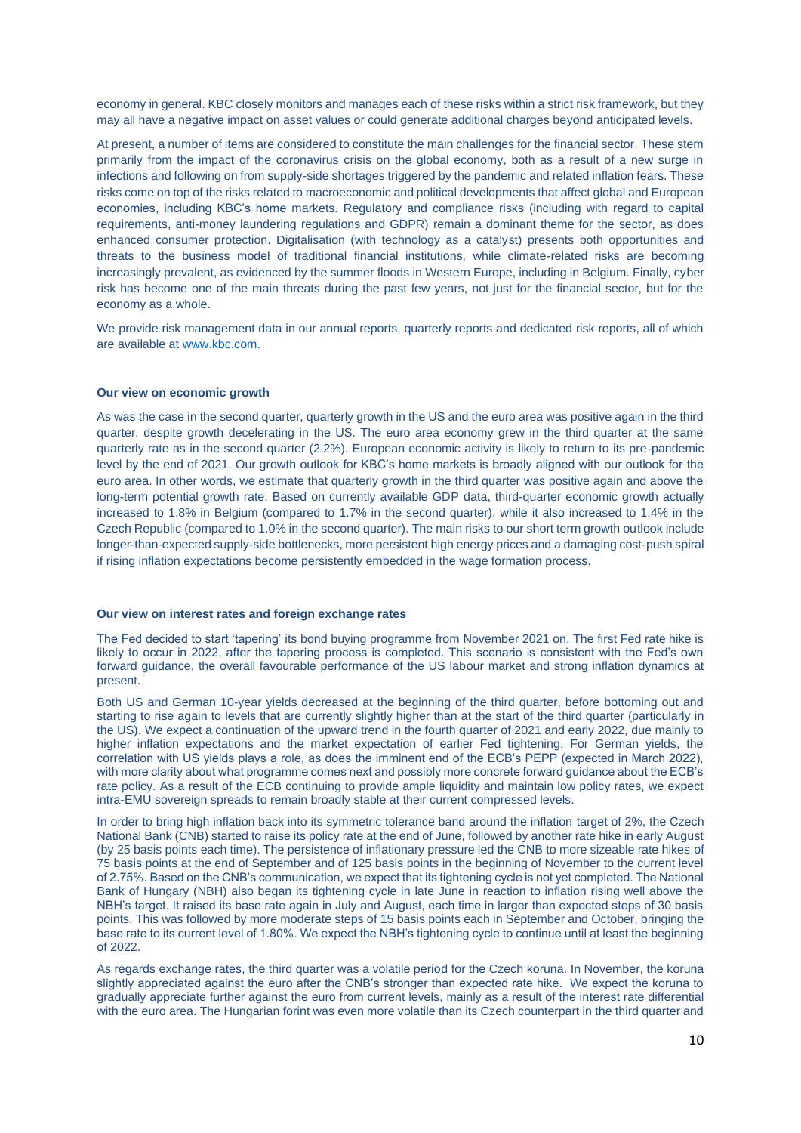economy in general. KBC closely monitors and manages each of these risks within a strict risk framework, but they may all have a negative impact on asset values or could generate additional charges beyond anticipated levels.

At present, a number of items are considered to constitute the main challenges for the financial sector. These stem primarily from the impact of the coronavirus crisis on the global economy, both as a result of a new surge in infections and following on from supply-side shortages triggered by the pandemic and related inflation fears. These risks come on top of the risks related to macroeconomic and political developments that affect global and European economies, including KBC's home markets. Regulatory and compliance risks (including with regard to capital requirements, anti-money laundering regulations and GDPR) remain a dominant theme for the sector, as does enhanced consumer protection. Digitalisation (with technology as a catalyst) presents both opportunities and threats to the business model of traditional financial institutions, while climate-related risks are becoming increasingly prevalent, as evidenced by the summer floods in Western Europe, including in Belgium. Finally, cyber risk has become one of the main threats during the past few years, not just for the financial sector, but for the economy as a whole.

We provide risk management data in our annual reports, quarterly reports and dedicated risk reports, all of which are available a[t www.kbc.com.](http://www.kbc.com/)

## **Our view on economic growth**

As was the case in the second quarter, quarterly growth in the US and the euro area was positive again in the third quarter, despite growth decelerating in the US. The euro area economy grew in the third quarter at the same quarterly rate as in the second quarter (2.2%). European economic activity is likely to return to its pre-pandemic level by the end of 2021. Our growth outlook for KBC's home markets is broadly aligned with our outlook for the euro area. In other words, we estimate that quarterly growth in the third quarter was positive again and above the long-term potential growth rate. Based on currently available GDP data, third-quarter economic growth actually increased to 1.8% in Belgium (compared to 1.7% in the second quarter), while it also increased to 1.4% in the Czech Republic (compared to 1.0% in the second quarter). The main risks to our short term growth outlook include longer-than-expected supply-side bottlenecks, more persistent high energy prices and a damaging cost-push spiral if rising inflation expectations become persistently embedded in the wage formation process.

## **Our view on interest rates and foreign exchange rates**

The Fed decided to start 'tapering' its bond buying programme from November 2021 on. The first Fed rate hike is likely to occur in 2022, after the tapering process is completed. This scenario is consistent with the Fed's own forward guidance, the overall favourable performance of the US labour market and strong inflation dynamics at present.

Both US and German 10-year yields decreased at the beginning of the third quarter, before bottoming out and starting to rise again to levels that are currently slightly higher than at the start of the third quarter (particularly in the US). We expect a continuation of the upward trend in the fourth quarter of 2021 and early 2022, due mainly to higher inflation expectations and the market expectation of earlier Fed tightening. For German yields, the correlation with US yields plays a role, as does the imminent end of the ECB's PEPP (expected in March 2022), with more clarity about what programme comes next and possibly more concrete forward guidance about the ECB's rate policy. As a result of the ECB continuing to provide ample liquidity and maintain low policy rates, we expect intra-EMU sovereign spreads to remain broadly stable at their current compressed levels.

In order to bring high inflation back into its symmetric tolerance band around the inflation target of 2%, the Czech National Bank (CNB) started to raise its policy rate at the end of June, followed by another rate hike in early August (by 25 basis points each time). The persistence of inflationary pressure led the CNB to more sizeable rate hikes of 75 basis points at the end of September and of 125 basis points in the beginning of November to the current level of 2.75%. Based on the CNB's communication, we expect that its tightening cycle is not yet completed. The National Bank of Hungary (NBH) also began its tightening cycle in late June in reaction to inflation rising well above the NBH's target. It raised its base rate again in July and August, each time in larger than expected steps of 30 basis points. This was followed by more moderate steps of 15 basis points each in September and October, bringing the base rate to its current level of 1.80%. We expect the NBH's tightening cycle to continue until at least the beginning of 2022.

As regards exchange rates, the third quarter was a volatile period for the Czech koruna. In November, the koruna slightly appreciated against the euro after the CNB's stronger than expected rate hike. We expect the koruna to gradually appreciate further against the euro from current levels, mainly as a result of the interest rate differential with the euro area. The Hungarian forint was even more volatile than its Czech counterpart in the third quarter and